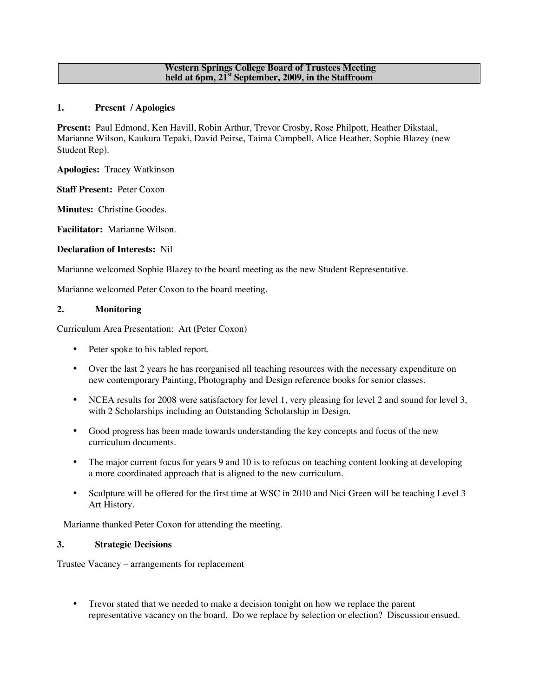#### **Western Springs College Board of Trustees Meeting held at 6pm, 21st September, 2009, in the Staffroom**

## **1. Present / Apologies**

**Present:** Paul Edmond, Ken Havill, Robin Arthur, Trevor Crosby, Rose Philpott, Heather Dikstaal, Marianne Wilson, Kaukura Tepaki, David Peirse, Taima Campbell, Alice Heather, Sophie Blazey (new Student Rep).

**Apologies:** Tracey Watkinson

**Staff Present:** Peter Coxon

**Minutes:** Christine Goodes.

**Facilitator:** Marianne Wilson.

### **Declaration of Interests:** Nil

Marianne welcomed Sophie Blazey to the board meeting as the new Student Representative.

Marianne welcomed Peter Coxon to the board meeting.

### **2. Monitoring**

Curriculum Area Presentation: Art (Peter Coxon)

- Peter spoke to his tabled report.
- Over the last 2 years he has reorganised all teaching resources with the necessary expenditure on new contemporary Painting, Photography and Design reference books for senior classes.
- NCEA results for 2008 were satisfactory for level 1, very pleasing for level 2 and sound for level 3, with 2 Scholarships including an Outstanding Scholarship in Design.
- Good progress has been made towards understanding the key concepts and focus of the new curriculum documents.
- The major current focus for years 9 and 10 is to refocus on teaching content looking at developing a more coordinated approach that is aligned to the new curriculum.
- Sculpture will be offered for the first time at WSC in 2010 and Nici Green will be teaching Level 3 Art History.

Marianne thanked Peter Coxon for attending the meeting.

# **3. Strategic Decisions**

Trustee Vacancy – arrangements for replacement

• Trevor stated that we needed to make a decision tonight on how we replace the parent representative vacancy on the board. Do we replace by selection or election? Discussion ensued.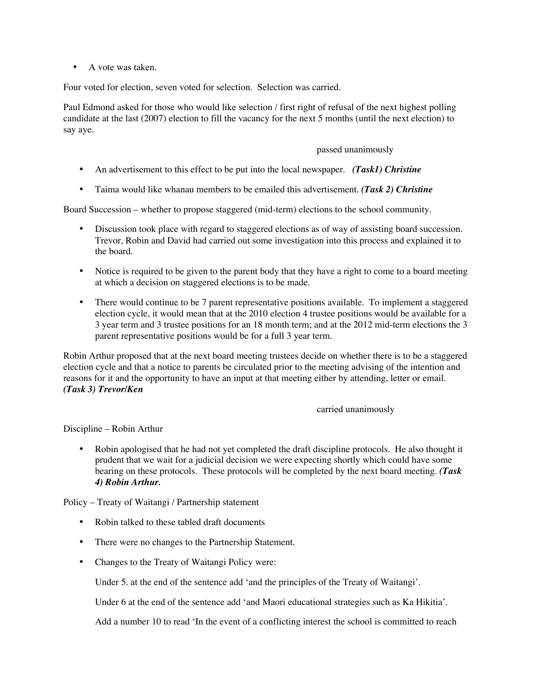• A vote was taken.

Four voted for election, seven voted for selection. Selection was carried.

Paul Edmond asked for those who would like selection / first right of refusal of the next highest polling candidate at the last (2007) election to fill the vacancy for the next 5 months (until the next election) to say aye.

### passed unanimously

- An advertisement to this effect to be put into the local newspaper. *(Task1) Christine*
- Taima would like whanau members to be emailed this advertisement. *(Task 2) Christine*

Board Succession – whether to propose staggered (mid-term) elections to the school community.

- Discussion took place with regard to staggered elections as of way of assisting board succession. Trevor, Robin and David had carried out some investigation into this process and explained it to the board.
- Notice is required to be given to the parent body that they have a right to come to a board meeting at which a decision on staggered elections is to be made.
- There would continue to be 7 parent representative positions available. To implement a staggered election cycle, it would mean that at the 2010 election 4 trustee positions would be available for a 3 year term and 3 trustee positions for an 18 month term; and at the 2012 mid-term elections the 3 parent representative positions would be for a full 3 year term.

Robin Arthur proposed that at the next board meeting trustees decide on whether there is to be a staggered election cycle and that a notice to parents be circulated prior to the meeting advising of the intention and reasons for it and the opportunity to have an input at that meeting either by attending, letter or email. *(Task 3) Trevor/Ken*

#### carried unanimously

Discipline – Robin Arthur

• Robin apologised that he had not yet completed the draft discipline protocols. He also thought it prudent that we wait for a judicial decision we were expecting shortly which could have some bearing on these protocols. These protocols will be completed by the next board meeting. *(Task 4) Robin Arthur.*

Policy – Treaty of Waitangi / Partnership statement

- Robin talked to these tabled draft documents
- There were no changes to the Partnership Statement.
- Changes to the Treaty of Waitangi Policy were:

Under 5. at the end of the sentence add 'and the principles of the Treaty of Waitangi'.

Under 6 at the end of the sentence add 'and Maori educational strategies such as Ka Hikitia'.

Add a number 10 to read 'In the event of a conflicting interest the school is committed to reach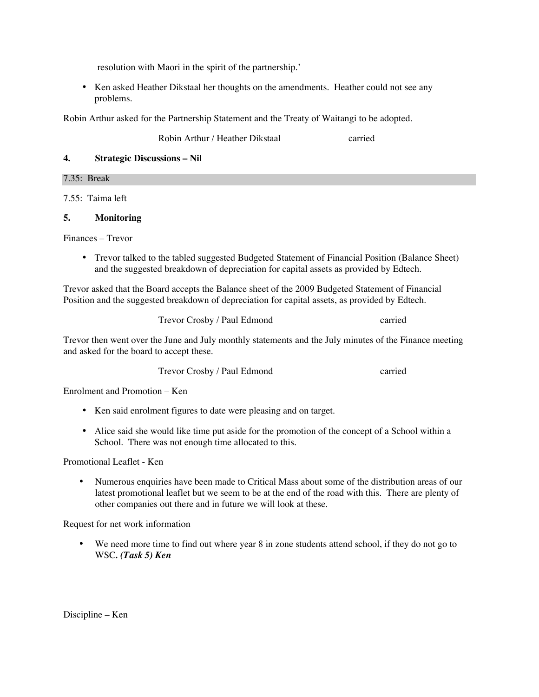resolution with Maori in the spirit of the partnership.'

• Ken asked Heather Dikstaal her thoughts on the amendments. Heather could not see any problems.

Robin Arthur asked for the Partnership Statement and the Treaty of Waitangi to be adopted.

Robin Arthur / Heather Dikstaal carried

# **4. Strategic Discussions – Nil**

7.35: Break

7.55: Taima left

# **5. Monitoring**

Finances – Trevor

• Trevor talked to the tabled suggested Budgeted Statement of Financial Position (Balance Sheet) and the suggested breakdown of depreciation for capital assets as provided by Edtech.

Trevor asked that the Board accepts the Balance sheet of the 2009 Budgeted Statement of Financial Position and the suggested breakdown of depreciation for capital assets, as provided by Edtech.

Trevor Crosby / Paul Edmond carried

Trevor then went over the June and July monthly statements and the July minutes of the Finance meeting and asked for the board to accept these.

Trevor Crosby / Paul Edmond carried

Enrolment and Promotion – Ken

- Ken said enrolment figures to date were pleasing and on target.
- Alice said she would like time put aside for the promotion of the concept of a School within a School. There was not enough time allocated to this.

Promotional Leaflet - Ken

• Numerous enquiries have been made to Critical Mass about some of the distribution areas of our latest promotional leaflet but we seem to be at the end of the road with this. There are plenty of other companies out there and in future we will look at these.

Request for net work information

• We need more time to find out where year 8 in zone students attend school, if they do not go to WSC*. (Task 5) Ken*

Discipline – Ken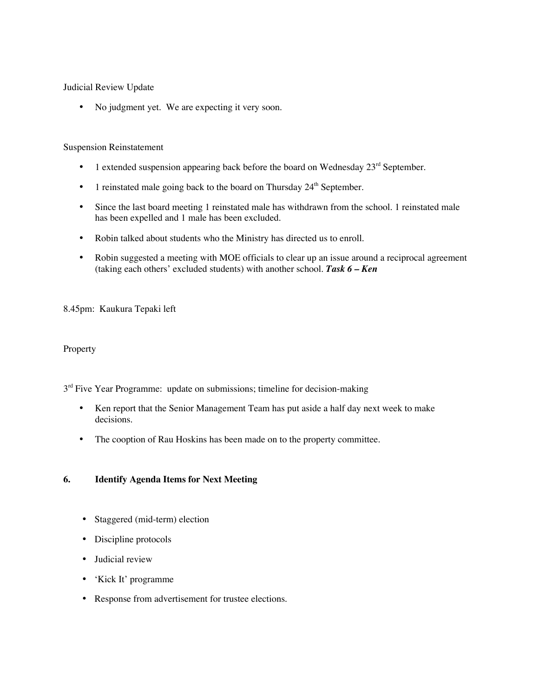Judicial Review Update

• No judgment yet. We are expecting it very soon.

### Suspension Reinstatement

- 1 extended suspension appearing back before the board on Wednesday  $23<sup>rd</sup>$  September.
- 1 reinstated male going back to the board on Thursday  $24<sup>th</sup>$  September.
- Since the last board meeting 1 reinstated male has withdrawn from the school. 1 reinstated male has been expelled and 1 male has been excluded.
- Robin talked about students who the Ministry has directed us to enroll.
- Robin suggested a meeting with MOE officials to clear up an issue around a reciprocal agreement (taking each others' excluded students) with another school. *Task 6 – Ken*

### 8.45pm: Kaukura Tepaki left

#### Property

 $3<sup>rd</sup>$  Five Year Programme: update on submissions; timeline for decision-making

- Ken report that the Senior Management Team has put aside a half day next week to make decisions.
- The cooption of Rau Hoskins has been made on to the property committee.

# **6. Identify Agenda Items for Next Meeting**

- Staggered (mid-term) election
- Discipline protocols
- Judicial review
- 'Kick It' programme
- Response from advertisement for trustee elections.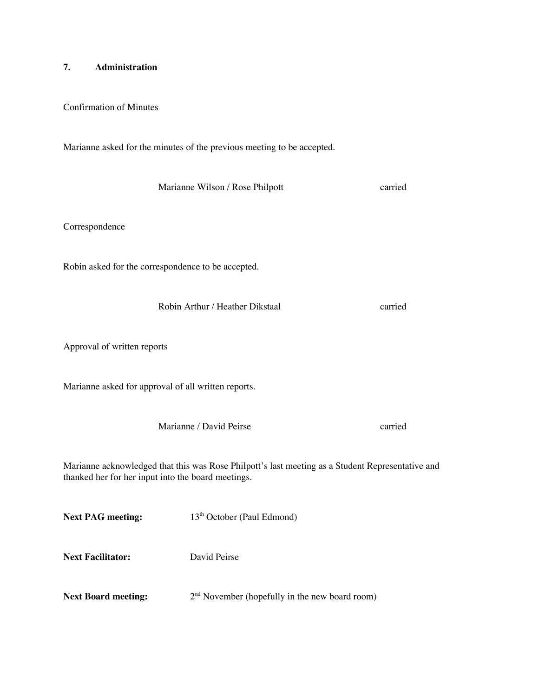### **7. Administration**

Confirmation of Minutes

Marianne asked for the minutes of the previous meeting to be accepted.

Marianne Wilson / Rose Philpott carried

Correspondence

Robin asked for the correspondence to be accepted.

Robin Arthur / Heather Dikstaal carried

Approval of written reports

Marianne asked for approval of all written reports.

Marianne / David Peirse carried

Marianne acknowledged that this was Rose Philpott's last meeting as a Student Representative and thanked her for her input into the board meetings.

**Next PAG meeting:** 13<sup>th</sup> October (Paul Edmond)

**Next Facilitator:** David Peirse

**Next Board meeting:**  $2^{nd}$  November (hopefully in the new board room)